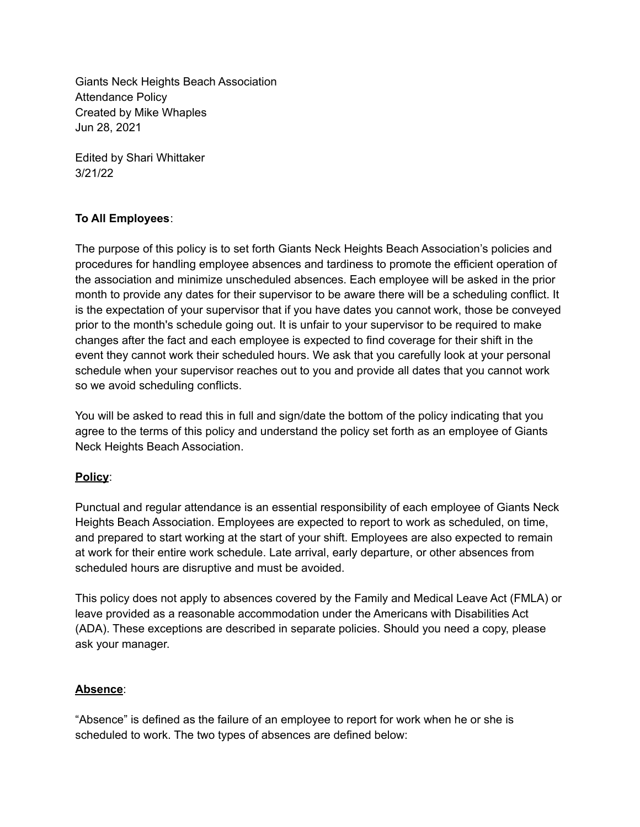Giants Neck Heights Beach Association Attendance Policy Created by Mike Whaples Jun 28, 2021

Edited by Shari Whittaker 3/21/22

# **To All Employees**:

The purpose of this policy is to set forth Giants Neck Heights Beach Association's policies and procedures for handling employee absences and tardiness to promote the efficient operation of the association and minimize unscheduled absences. Each employee will be asked in the prior month to provide any dates for their supervisor to be aware there will be a scheduling conflict. It is the expectation of your supervisor that if you have dates you cannot work, those be conveyed prior to the month's schedule going out. It is unfair to your supervisor to be required to make changes after the fact and each employee is expected to find coverage for their shift in the event they cannot work their scheduled hours. We ask that you carefully look at your personal schedule when your supervisor reaches out to you and provide all dates that you cannot work so we avoid scheduling conflicts.

You will be asked to read this in full and sign/date the bottom of the policy indicating that you agree to the terms of this policy and understand the policy set forth as an employee of Giants Neck Heights Beach Association.

# **Policy**:

Punctual and regular attendance is an essential responsibility of each employee of Giants Neck Heights Beach Association. Employees are expected to report to work as scheduled, on time, and prepared to start working at the start of your shift. Employees are also expected to remain at work for their entire work schedule. Late arrival, early departure, or other absences from scheduled hours are disruptive and must be avoided.

This policy does not apply to absences covered by the Family and Medical Leave Act (FMLA) or leave provided as a reasonable accommodation under the Americans with Disabilities Act (ADA). These exceptions are described in separate policies. Should you need a copy, please ask your manager.

# **Absence**:

"Absence" is defined as the failure of an employee to report for work when he or she is scheduled to work. The two types of absences are defined below: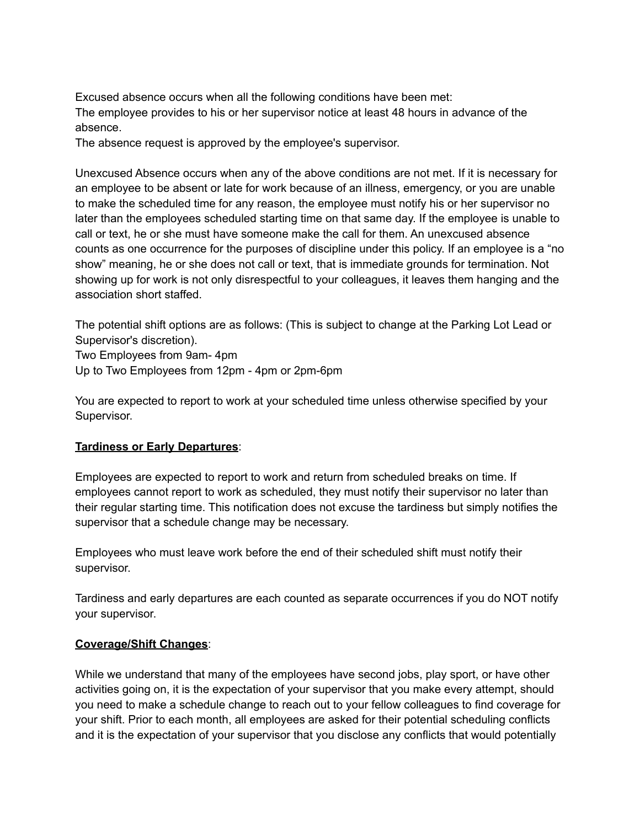Excused absence occurs when all the following conditions have been met: The employee provides to his or her supervisor notice at least 48 hours in advance of the absence.

The absence request is approved by the employee's supervisor.

Unexcused Absence occurs when any of the above conditions are not met. If it is necessary for an employee to be absent or late for work because of an illness, emergency, or you are unable to make the scheduled time for any reason, the employee must notify his or her supervisor no later than the employees scheduled starting time on that same day. If the employee is unable to call or text, he or she must have someone make the call for them. An unexcused absence counts as one occurrence for the purposes of discipline under this policy. If an employee is a "no show" meaning, he or she does not call or text, that is immediate grounds for termination. Not showing up for work is not only disrespectful to your colleagues, it leaves them hanging and the association short staffed.

The potential shift options are as follows: (This is subject to change at the Parking Lot Lead or Supervisor's discretion).

Two Employees from 9am- 4pm Up to Two Employees from 12pm - 4pm or 2pm-6pm

You are expected to report to work at your scheduled time unless otherwise specified by your Supervisor.

#### **Tardiness or Early Departures**:

Employees are expected to report to work and return from scheduled breaks on time. If employees cannot report to work as scheduled, they must notify their supervisor no later than their regular starting time. This notification does not excuse the tardiness but simply notifies the supervisor that a schedule change may be necessary.

Employees who must leave work before the end of their scheduled shift must notify their supervisor.

Tardiness and early departures are each counted as separate occurrences if you do NOT notify your supervisor.

#### **Coverage/Shift Changes**:

While we understand that many of the employees have second jobs, play sport, or have other activities going on, it is the expectation of your supervisor that you make every attempt, should you need to make a schedule change to reach out to your fellow colleagues to find coverage for your shift. Prior to each month, all employees are asked for their potential scheduling conflicts and it is the expectation of your supervisor that you disclose any conflicts that would potentially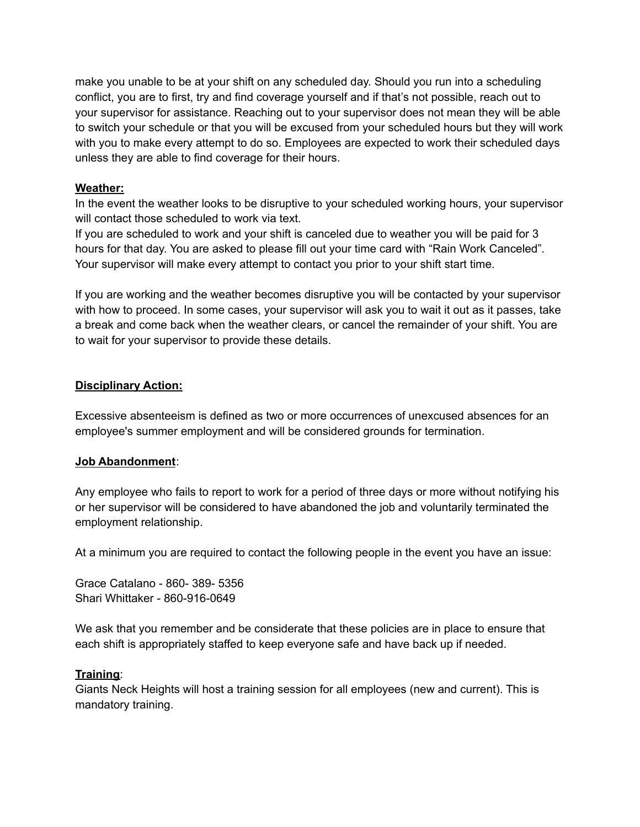make you unable to be at your shift on any scheduled day. Should you run into a scheduling conflict, you are to first, try and find coverage yourself and if that's not possible, reach out to your supervisor for assistance. Reaching out to your supervisor does not mean they will be able to switch your schedule or that you will be excused from your scheduled hours but they will work with you to make every attempt to do so. Employees are expected to work their scheduled days unless they are able to find coverage for their hours.

### **Weather:**

In the event the weather looks to be disruptive to your scheduled working hours, your supervisor will contact those scheduled to work via text.

If you are scheduled to work and your shift is canceled due to weather you will be paid for 3 hours for that day. You are asked to please fill out your time card with "Rain Work Canceled". Your supervisor will make every attempt to contact you prior to your shift start time.

If you are working and the weather becomes disruptive you will be contacted by your supervisor with how to proceed. In some cases, your supervisor will ask you to wait it out as it passes, take a break and come back when the weather clears, or cancel the remainder of your shift. You are to wait for your supervisor to provide these details.

### **Disciplinary Action:**

Excessive absenteeism is defined as two or more occurrences of unexcused absences for an employee's summer employment and will be considered grounds for termination.

#### **Job Abandonment**:

Any employee who fails to report to work for a period of three days or more without notifying his or her supervisor will be considered to have abandoned the job and voluntarily terminated the employment relationship.

At a minimum you are required to contact the following people in the event you have an issue:

Grace Catalano - 860- 389- 5356 Shari Whittaker - 860-916-0649

We ask that you remember and be considerate that these policies are in place to ensure that each shift is appropriately staffed to keep everyone safe and have back up if needed.

#### **Training**:

Giants Neck Heights will host a training session for all employees (new and current). This is mandatory training.